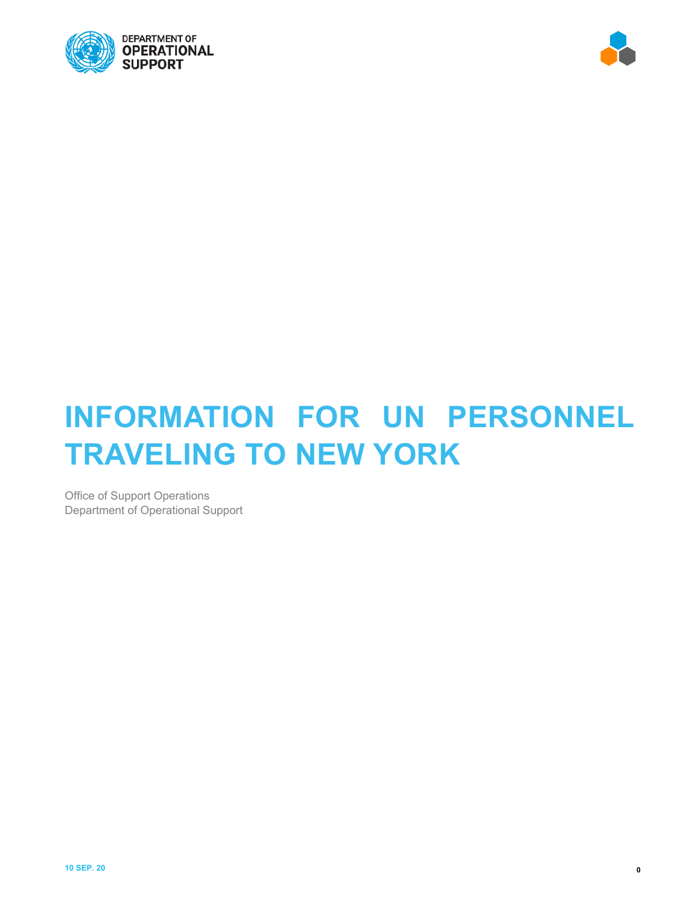



## **INFORMATION FOR UN PERSONNEL TRAVELING TO NEW YORK**

Office of Support Operations Department of Operational Support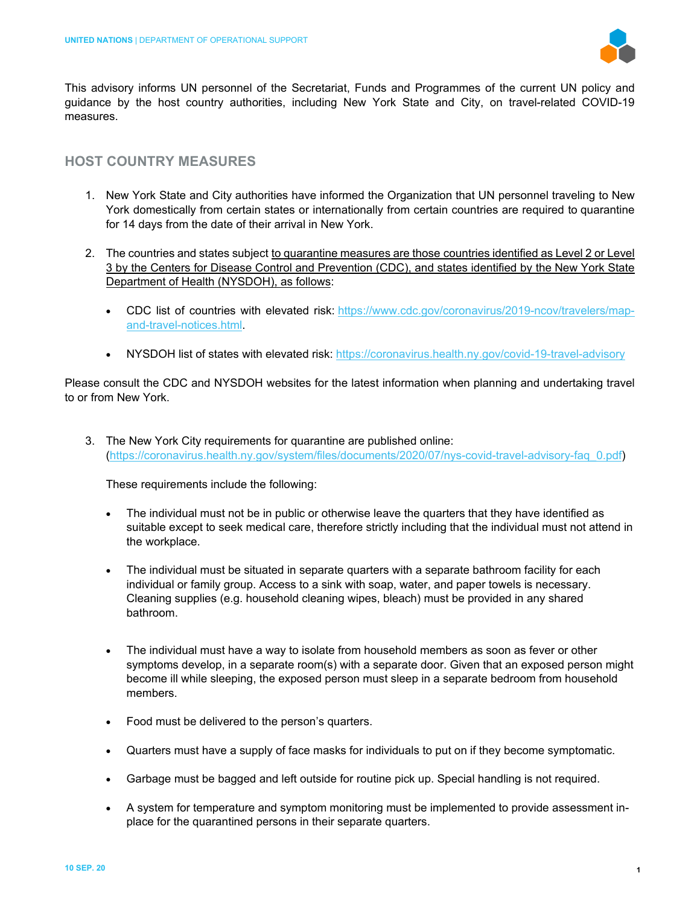

This advisory informs UN personnel of the Secretariat, Funds and Programmes of the current UN policy and guidance by the host country authorities, including New York State and City, on travel-related COVID-19 measures.

## **HOST COUNTRY MEASURES**

- 1. New York State and City authorities have informed the Organization that UN personnel traveling to New York domestically from certain states or internationally from certain countries are required to quarantine for 14 days from the date of their arrival in New York.
- 2. The countries and states subject to quarantine measures are those countries identified as Level 2 or Level 3 by the Centers for Disease Control and Prevention (CDC), and states identified by the New York State Department of Health (NYSDOH), as follows:
	- CDC list of countries with elevated risk: [https://www.cdc.gov/coronavirus/2019-ncov/travelers/map](https://eur02.safelinks.protection.outlook.com/?url=https%3A%2F%2Fwww.cdc.gov%2Fcoronavirus%2F2019-ncov%2Ftravelers%2Fmap-and-travel-notices.html&data=02%7C01%7Ckhare%40un.org%7Cf52ac1c4f9c64258064108d854219c30%7C0f9e35db544f4f60bdcc5ea416e6dc70%7C0%7C0%7C637351850618758549&sdata=UsvbiZ3UaWV%2F%2FaZQ9RAedtZ8Ml%2BFl9%2B6XKiddXweGOE%3D&reserved=0)[and-travel-notices.html.](https://eur02.safelinks.protection.outlook.com/?url=https%3A%2F%2Fwww.cdc.gov%2Fcoronavirus%2F2019-ncov%2Ftravelers%2Fmap-and-travel-notices.html&data=02%7C01%7Ckhare%40un.org%7Cf52ac1c4f9c64258064108d854219c30%7C0f9e35db544f4f60bdcc5ea416e6dc70%7C0%7C0%7C637351850618758549&sdata=UsvbiZ3UaWV%2F%2FaZQ9RAedtZ8Ml%2BFl9%2B6XKiddXweGOE%3D&reserved=0)
	- NYSDOH list of states with elevated risk: [https://coronavirus.health.ny.gov/covid-19-travel-advisory](https://eur02.safelinks.protection.outlook.com/?url=https%3A%2F%2Fcoronavirus.health.ny.gov%2Fcovid-19-travel-advisory&data=02%7C01%7Ckhare%40un.org%7Cf52ac1c4f9c64258064108d854219c30%7C0f9e35db544f4f60bdcc5ea416e6dc70%7C0%7C0%7C637351850618758549&sdata=F0dpdhpo7W0GkBZcNG9t4V3ZKVnCJ6v5BToRcudsJ2g%3D&reserved=0)

Please consult the CDC and NYSDOH websites for the latest information when planning and undertaking travel to or from New York.

3. The New York City requirements for quarantine are published online: [\(https://coronavirus.health.ny.gov/system/files/documents/2020/07/nys-covid-travel-advisory-faq\\_0.pdf\)](https://coronavirus.health.ny.gov/system/files/documents/2020/07/nys-covid-travel-advisory-faq_0.pdf)

These requirements include the following:

- The individual must not be in public or otherwise leave the quarters that they have identified as suitable except to seek medical care, therefore strictly including that the individual must not attend in the workplace.
- The individual must be situated in separate quarters with a separate bathroom facility for each individual or family group. Access to a sink with soap, water, and paper towels is necessary. Cleaning supplies (e.g. household cleaning wipes, bleach) must be provided in any shared bathroom.
- The individual must have a way to isolate from household members as soon as fever or other symptoms develop, in a separate room(s) with a separate door. Given that an exposed person might become ill while sleeping, the exposed person must sleep in a separate bedroom from household members.
- Food must be delivered to the person's quarters.
- Quarters must have a supply of face masks for individuals to put on if they become symptomatic.
- Garbage must be bagged and left outside for routine pick up. Special handling is not required.
- A system for temperature and symptom monitoring must be implemented to provide assessment inplace for the quarantined persons in their separate quarters.